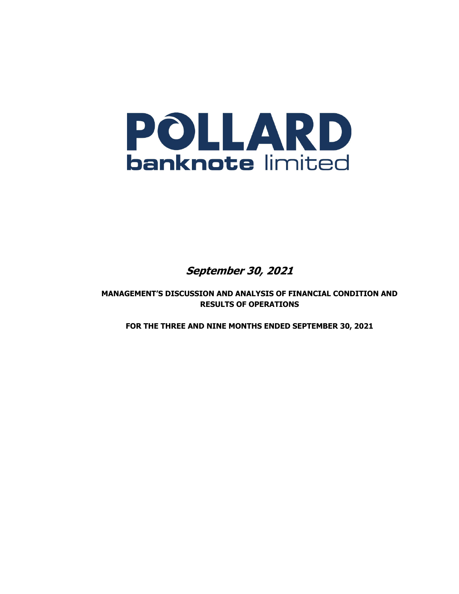

**September 30, 2021** 

**MANAGEMENT'S DISCUSSION AND ANALYSIS OF FINANCIAL CONDITION AND RESULTS OF OPERATIONS** 

**FOR THE THREE AND NINE MONTHS ENDED SEPTEMBER 30, 2021**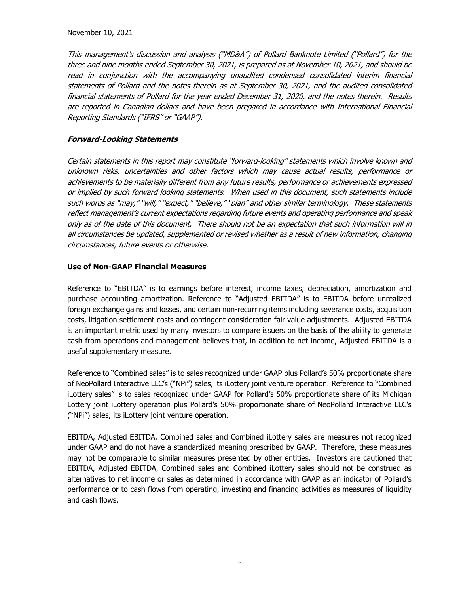November 10, 2021

This management's discussion and analysis ("MD&A") of Pollard Banknote Limited ("Pollard") for the three and nine months ended September 30, 2021, is prepared as at November 10, 2021, and should be read in conjunction with the accompanying unaudited condensed consolidated interim financial statements of Pollard and the notes therein as at September 30, 2021, and the audited consolidated financial statements of Pollard for the year ended December 31, 2020, and the notes therein. Results are reported in Canadian dollars and have been prepared in accordance with International Financial Reporting Standards ("IFRS" or "GAAP").

#### **Forward-Looking Statements**

Certain statements in this report may constitute "forward-looking" statements which involve known and unknown risks, uncertainties and other factors which may cause actual results, performance or achievements to be materially different from any future results, performance or achievements expressed or implied by such forward looking statements. When used in this document, such statements include such words as "may," "will," "expect," "believe," "plan" and other similar terminology. These statements reflect management's current expectations regarding future events and operating performance and speak only as of the date of this document. There should not be an expectation that such information will in all circumstances be updated, supplemented or revised whether as a result of new information, changing circumstances, future events or otherwise.

#### **Use of Non-GAAP Financial Measures**

Reference to "EBITDA" is to earnings before interest, income taxes, depreciation, amortization and purchase accounting amortization. Reference to "Adjusted EBITDA" is to EBITDA before unrealized foreign exchange gains and losses, and certain non-recurring items including severance costs, acquisition costs, litigation settlement costs and contingent consideration fair value adjustments. Adjusted EBITDA is an important metric used by many investors to compare issuers on the basis of the ability to generate cash from operations and management believes that, in addition to net income, Adjusted EBITDA is a useful supplementary measure.

Reference to "Combined sales" is to sales recognized under GAAP plus Pollard's 50% proportionate share of NeoPollard Interactive LLC's ("NPi") sales, its iLottery joint venture operation. Reference to "Combined iLottery sales" is to sales recognized under GAAP for Pollard's 50% proportionate share of its Michigan Lottery joint iLottery operation plus Pollard's 50% proportionate share of NeoPollard Interactive LLC's ("NPi") sales, its iLottery joint venture operation.

EBITDA, Adjusted EBITDA, Combined sales and Combined iLottery sales are measures not recognized under GAAP and do not have a standardized meaning prescribed by GAAP. Therefore, these measures may not be comparable to similar measures presented by other entities. Investors are cautioned that EBITDA, Adjusted EBITDA, Combined sales and Combined iLottery sales should not be construed as alternatives to net income or sales as determined in accordance with GAAP as an indicator of Pollard's performance or to cash flows from operating, investing and financing activities as measures of liquidity and cash flows.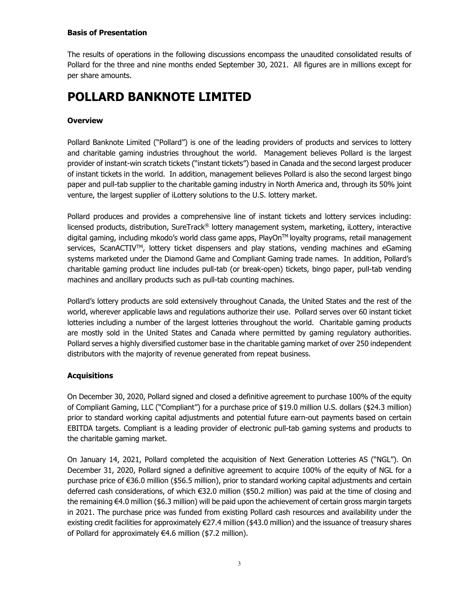## **Basis of Presentation**

The results of operations in the following discussions encompass the unaudited consolidated results of Pollard for the three and nine months ended September 30, 2021. All figures are in millions except for per share amounts.

# **POLLARD BANKNOTE LIMITED**

## **Overview**

Pollard Banknote Limited ("Pollard") is one of the leading providers of products and services to lottery and charitable gaming industries throughout the world. Management believes Pollard is the largest provider of instant-win scratch tickets ("instant tickets") based in Canada and the second largest producer of instant tickets in the world. In addition, management believes Pollard is also the second largest bingo paper and pull-tab supplier to the charitable gaming industry in North America and, through its 50% joint venture, the largest supplier of iLottery solutions to the U.S. lottery market.

Pollard produces and provides a comprehensive line of instant tickets and lottery services including: licensed products, distribution, SureTrack® lottery management system, marketing, iLottery, interactive digital gaming, including mkodo's world class game apps, PlayOn™ loyalty programs, retail management services, ScanACTIV<sup>™</sup>, lottery ticket dispensers and play stations, vending machines and eGaming systems marketed under the Diamond Game and Compliant Gaming trade names. In addition, Pollard's charitable gaming product line includes pull-tab (or break-open) tickets, bingo paper, pull-tab vending machines and ancillary products such as pull-tab counting machines.

Pollard's lottery products are sold extensively throughout Canada, the United States and the rest of the world, wherever applicable laws and regulations authorize their use. Pollard serves over 60 instant ticket lotteries including a number of the largest lotteries throughout the world. Charitable gaming products are mostly sold in the United States and Canada where permitted by gaming regulatory authorities. Pollard serves a highly diversified customer base in the charitable gaming market of over 250 independent distributors with the majority of revenue generated from repeat business.

# **Acquisitions**

On December 30, 2020, Pollard signed and closed a definitive agreement to purchase 100% of the equity of Compliant Gaming, LLC ("Compliant") for a purchase price of \$19.0 million U.S. dollars (\$24.3 million) prior to standard working capital adjustments and potential future earn-out payments based on certain EBITDA targets. Compliant is a leading provider of electronic pull-tab gaming systems and products to the charitable gaming market.

On January 14, 2021, Pollard completed the acquisition of Next Generation Lotteries AS ("NGL"). On December 31, 2020, Pollard signed a definitive agreement to acquire 100% of the equity of NGL for a purchase price of €36.0 million (\$56.5 million), prior to standard working capital adjustments and certain deferred cash considerations, of which €32.0 million (\$50.2 million) was paid at the time of closing and the remaining €4.0 million (\$6.3 million) will be paid upon the achievement of certain gross margin targets in 2021. The purchase price was funded from existing Pollard cash resources and availability under the existing credit facilities for approximately €27.4 million (\$43.0 million) and the issuance of treasury shares of Pollard for approximately €4.6 million (\$7.2 million).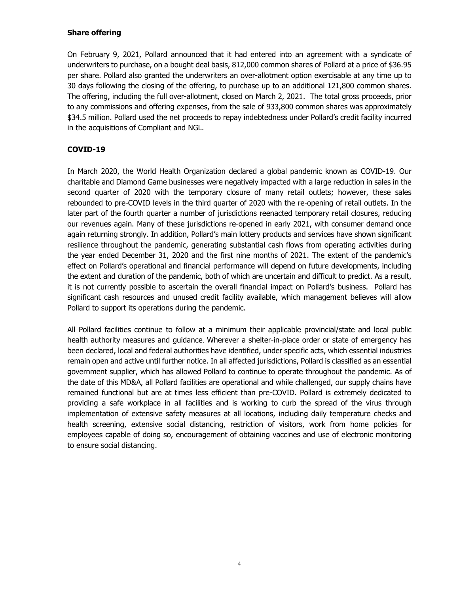## **Share offering**

On February 9, 2021, Pollard announced that it had entered into an agreement with a syndicate of underwriters to purchase, on a bought deal basis, 812,000 common shares of Pollard at a price of \$36.95 per share. Pollard also granted the underwriters an over-allotment option exercisable at any time up to 30 days following the closing of the offering, to purchase up to an additional 121,800 common shares. The offering, including the full over-allotment, closed on March 2, 2021. The total gross proceeds, prior to any commissions and offering expenses, from the sale of 933,800 common shares was approximately \$34.5 million. Pollard used the net proceeds to repay indebtedness under Pollard's credit facility incurred in the acquisitions of Compliant and NGL.

# **COVID-19**

In March 2020, the World Health Organization declared a global pandemic known as COVID-19. Our charitable and Diamond Game businesses were negatively impacted with a large reduction in sales in the second quarter of 2020 with the temporary closure of many retail outlets; however, these sales rebounded to pre-COVID levels in the third quarter of 2020 with the re-opening of retail outlets. In the later part of the fourth quarter a number of jurisdictions reenacted temporary retail closures, reducing our revenues again. Many of these jurisdictions re-opened in early 2021, with consumer demand once again returning strongly. In addition, Pollard's main lottery products and services have shown significant resilience throughout the pandemic, generating substantial cash flows from operating activities during the year ended December 31, 2020 and the first nine months of 2021. The extent of the pandemic's effect on Pollard's operational and financial performance will depend on future developments, including the extent and duration of the pandemic, both of which are uncertain and difficult to predict. As a result, it is not currently possible to ascertain the overall financial impact on Pollard's business. Pollard has significant cash resources and unused credit facility available, which management believes will allow Pollard to support its operations during the pandemic.

All Pollard facilities continue to follow at a minimum their applicable provincial/state and local public health authority measures and guidance. Wherever a shelter-in-place order or state of emergency has been declared, local and federal authorities have identified, under specific acts, which essential industries remain open and active until further notice. In all affected jurisdictions, Pollard is classified as an essential government supplier, which has allowed Pollard to continue to operate throughout the pandemic. As of the date of this MD&A, all Pollard facilities are operational and while challenged, our supply chains have remained functional but are at times less efficient than pre-COVID. Pollard is extremely dedicated to providing a safe workplace in all facilities and is working to curb the spread of the virus through implementation of extensive safety measures at all locations, including daily temperature checks and health screening, extensive social distancing, restriction of visitors, work from home policies for employees capable of doing so, encouragement of obtaining vaccines and use of electronic monitoring to ensure social distancing.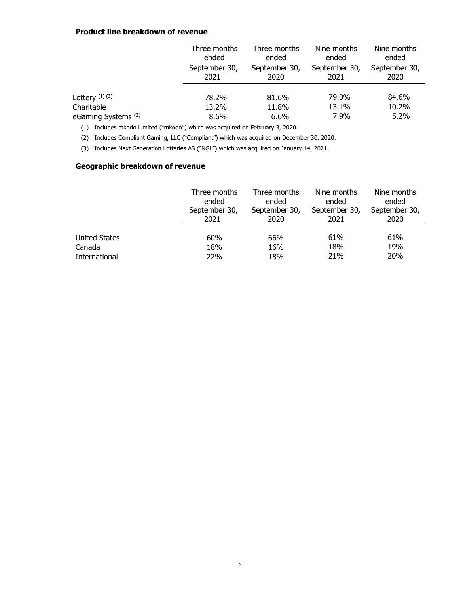#### **Product line breakdown of revenue**

|                                | Three months<br>ended | Three months<br>ended | Nine months<br>ended  | Nine months<br>ended  |
|--------------------------------|-----------------------|-----------------------|-----------------------|-----------------------|
|                                | September 30,<br>2021 | September 30,<br>2020 | September 30,<br>2021 | September 30,<br>2020 |
| Lottery $(1)(3)$               | 78.2%                 | 81.6%                 | 79.0%                 | 84.6%                 |
| Charitable                     | 13.2%                 | 11.8%                 | 13.1%                 | 10.2%                 |
| eGaming Systems <sup>(2)</sup> | 8.6%                  | 6.6%                  | 7.9%                  | 5.2%                  |

(1) Includes mkodo Limited ("mkodo") which was acquired on February 3, 2020.

(2) Includes Compliant Gaming, LLC ("Compliant") which was acquired on December 30, 2020.

(3) Includes Next Generation Lotteries AS ("NGL") which was acquired on January 14, 2021.

# **Geographic breakdown of revenue**

|                      | Three months  | Three months  | Nine months   | Nine months   |
|----------------------|---------------|---------------|---------------|---------------|
|                      | ended         | ended         | ended         | ended         |
|                      | September 30, | September 30, | September 30, | September 30, |
|                      | 2021          | 2020          | 2021          | 2020          |
| <b>United States</b> | 60%           | 66%           | 61%           | 61%           |
| Canada               | 18%           | 16%           | 18%           | 19%           |
| International        | 22%           | 18%           | 21%           | 20%           |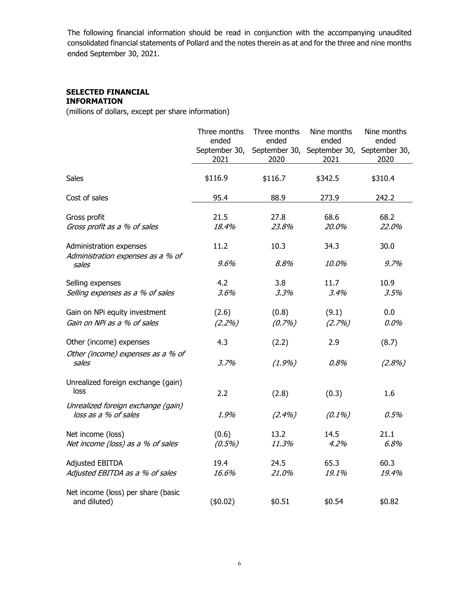The following financial information should be read in conjunction with the accompanying unaudited consolidated financial statements of Pollard and the notes therein as at and for the three and nine months ended September 30, 2021.

#### **SELECTED FINANCIAL INFORMATION**

(millions of dollars, except per share information)

|                                                              | Three months<br>ended | Three months<br>ended | Nine months<br>ended                              | Nine months<br>ended |
|--------------------------------------------------------------|-----------------------|-----------------------|---------------------------------------------------|----------------------|
|                                                              | September 30,<br>2021 | 2020                  | September 30, September 30, September 30,<br>2021 | 2020                 |
|                                                              |                       |                       |                                                   |                      |
| <b>Sales</b>                                                 | \$116.9               | \$116.7               | \$342.5                                           | \$310.4              |
| Cost of sales                                                | 95.4                  | 88.9                  | 273.9                                             | 242.2                |
| Gross profit                                                 | 21.5                  | 27.8                  | 68.6                                              | 68.2                 |
| Gross profit as a % of sales                                 | 18.4%                 | 23.8%                 | 20.0%                                             | 22.0%                |
| Administration expenses<br>Administration expenses as a % of | 11.2                  | 10.3                  | 34.3                                              | 30.0                 |
| sales                                                        | 9.6%                  | 8.8%                  | 10.0%                                             | 9.7%                 |
| Selling expenses                                             | 4.2                   | 3.8                   | 11.7                                              | 10.9                 |
| Selling expenses as a % of sales                             | 3.6%                  | 3.3%                  | 3.4%                                              | 3.5%                 |
| Gain on NPi equity investment                                | (2.6)                 | (0.8)                 | (9.1)                                             | 0.0                  |
| Gain on NPi as a % of sales                                  | (2.2%)                | (0.7%)                | (2.7%)                                            | $0.0\%$              |
| Other (income) expenses                                      | 4.3                   | (2.2)                 | 2.9                                               | (8.7)                |
| Other (income) expenses as a % of<br>sales                   | 3.7%                  | $(1.9\%)$             | 0.8%                                              | (2.8%)               |
| Unrealized foreign exchange (gain)<br>loss                   | 2.2                   | (2.8)                 | (0.3)                                             | 1.6                  |
| Unrealized foreign exchange (gain)<br>loss as a % of sales   | 1.9%                  | $(2.4\%)$             | $(0.1\%)$                                         | 0.5%                 |
| Net income (loss)<br>Net income (loss) as a % of sales       | (0.6)<br>$(0.5\%)$    | 13.2<br>11.3%         | 14.5<br>4.2%                                      | 21.1<br>6.8%         |
| <b>Adjusted EBITDA</b><br>Adjusted EBITDA as a % of sales    | 19.4<br>16.6%         | 24.5<br>21.0%         | 65.3<br>19.1%                                     | 60.3<br>19.4%        |
| Net income (loss) per share (basic<br>and diluted)           | (\$0.02)              | \$0.51                | \$0.54                                            | \$0.82               |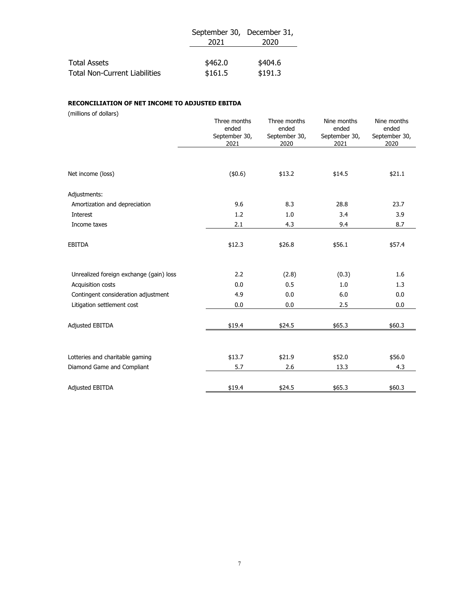|                                      | September 30, December 31, |         |  |
|--------------------------------------|----------------------------|---------|--|
|                                      | 2021                       | 2020    |  |
|                                      |                            |         |  |
| <b>Total Assets</b>                  | \$462.0                    | \$404.6 |  |
| <b>Total Non-Current Liabilities</b> | \$161.5                    | \$191.3 |  |

#### **RECONCILIATION OF NET INCOME TO ADJUSTED EBITDA**

(millions of dollars)

|                                         | Three months<br>ended<br>September 30,<br>2021 | Three months<br>ended<br>September 30,<br>2020 | Nine months<br>ended<br>September 30,<br>2021 | Nine months<br>ended<br>September 30,<br>2020 |
|-----------------------------------------|------------------------------------------------|------------------------------------------------|-----------------------------------------------|-----------------------------------------------|
|                                         |                                                |                                                |                                               |                                               |
| Net income (loss)                       | (\$0.6)                                        | \$13.2                                         | \$14.5                                        | \$21.1                                        |
| Adjustments:                            |                                                |                                                |                                               |                                               |
| Amortization and depreciation           | 9.6                                            | 8.3                                            | 28.8                                          | 23.7                                          |
| Interest                                | 1.2                                            | 1.0                                            | 3.4                                           | 3.9                                           |
| Income taxes                            | 2.1                                            | 4.3                                            | 9.4                                           | 8.7                                           |
| <b>EBITDA</b>                           | \$12.3                                         | \$26.8                                         | \$56.1                                        | \$57.4                                        |
| Unrealized foreign exchange (gain) loss | 2.2                                            | (2.8)                                          | (0.3)                                         | 1.6                                           |
| Acquisition costs                       | 0.0                                            | 0.5                                            | 1.0                                           | 1.3                                           |
| Contingent consideration adjustment     | 4.9                                            | 0.0                                            | 6.0                                           | 0.0                                           |
| Litigation settlement cost              | 0.0                                            | 0.0                                            | 2.5                                           | 0.0                                           |
| <b>Adjusted EBITDA</b>                  | \$19.4                                         | \$24.5                                         | \$65.3                                        | \$60.3                                        |
| Lotteries and charitable gaming         | \$13.7                                         | \$21.9                                         | \$52.0                                        | \$56.0                                        |
| Diamond Game and Compliant              | 5.7                                            | 2.6                                            | 13.3                                          | 4.3                                           |
| <b>Adjusted EBITDA</b>                  | \$19.4                                         | \$24.5                                         | \$65.3                                        | \$60.3                                        |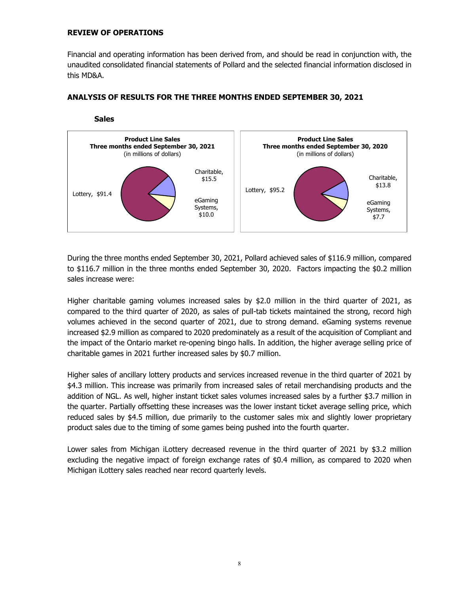#### **REVIEW OF OPERATIONS**

Financial and operating information has been derived from, and should be read in conjunction with, the unaudited consolidated financial statements of Pollard and the selected financial information disclosed in this MD&A.



## **ANALYSIS OF RESULTS FOR THE THREE MONTHS ENDED SEPTEMBER 30, 2021**

During the three months ended September 30, 2021, Pollard achieved sales of \$116.9 million, compared to \$116.7 million in the three months ended September 30, 2020. Factors impacting the \$0.2 million sales increase were:

Higher charitable gaming volumes increased sales by \$2.0 million in the third quarter of 2021, as compared to the third quarter of 2020, as sales of pull-tab tickets maintained the strong, record high volumes achieved in the second quarter of 2021, due to strong demand. eGaming systems revenue increased \$2.9 million as compared to 2020 predominately as a result of the acquisition of Compliant and the impact of the Ontario market re-opening bingo halls. In addition, the higher average selling price of charitable games in 2021 further increased sales by \$0.7 million.

Higher sales of ancillary lottery products and services increased revenue in the third quarter of 2021 by \$4.3 million. This increase was primarily from increased sales of retail merchandising products and the addition of NGL. As well, higher instant ticket sales volumes increased sales by a further \$3.7 million in the quarter. Partially offsetting these increases was the lower instant ticket average selling price, which reduced sales by \$4.5 million, due primarily to the customer sales mix and slightly lower proprietary product sales due to the timing of some games being pushed into the fourth quarter.

Lower sales from Michigan iLottery decreased revenue in the third quarter of 2021 by \$3.2 million excluding the negative impact of foreign exchange rates of \$0.4 million, as compared to 2020 when Michigan iLottery sales reached near record quarterly levels.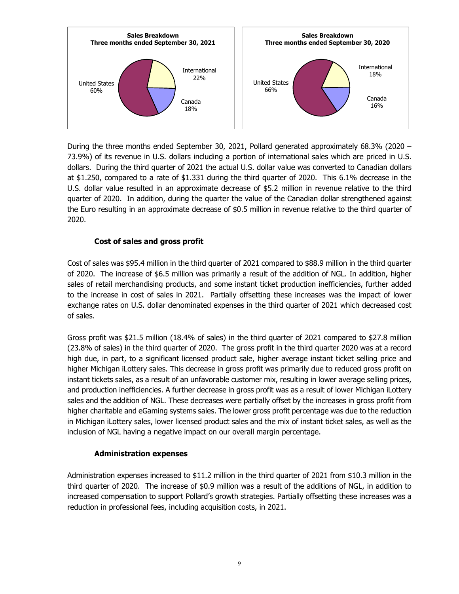

During the three months ended September 30, 2021, Pollard generated approximately 68.3% (2020 – 73.9%) of its revenue in U.S. dollars including a portion of international sales which are priced in U.S. dollars. During the third quarter of 2021 the actual U.S. dollar value was converted to Canadian dollars at \$1.250, compared to a rate of \$1.331 during the third quarter of 2020. This 6.1% decrease in the U.S. dollar value resulted in an approximate decrease of \$5.2 million in revenue relative to the third quarter of 2020. In addition, during the quarter the value of the Canadian dollar strengthened against the Euro resulting in an approximate decrease of \$0.5 million in revenue relative to the third quarter of 2020.

## **Cost of sales and gross profit**

Cost of sales was \$95.4 million in the third quarter of 2021 compared to \$88.9 million in the third quarter of 2020. The increase of \$6.5 million was primarily a result of the addition of NGL. In addition, higher sales of retail merchandising products, and some instant ticket production inefficiencies, further added to the increase in cost of sales in 2021. Partially offsetting these increases was the impact of lower exchange rates on U.S. dollar denominated expenses in the third quarter of 2021 which decreased cost of sales.

Gross profit was \$21.5 million (18.4% of sales) in the third quarter of 2021 compared to \$27.8 million (23.8% of sales) in the third quarter of 2020. The gross profit in the third quarter 2020 was at a record high due, in part, to a significant licensed product sale, higher average instant ticket selling price and higher Michigan iLottery sales. This decrease in gross profit was primarily due to reduced gross profit on instant tickets sales, as a result of an unfavorable customer mix, resulting in lower average selling prices, and production inefficiencies. A further decrease in gross profit was as a result of lower Michigan iLottery sales and the addition of NGL. These decreases were partially offset by the increases in gross profit from higher charitable and eGaming systems sales. The lower gross profit percentage was due to the reduction in Michigan iLottery sales, lower licensed product sales and the mix of instant ticket sales, as well as the inclusion of NGL having a negative impact on our overall margin percentage.

#### **Administration expenses**

Administration expenses increased to \$11.2 million in the third quarter of 2021 from \$10.3 million in the third quarter of 2020. The increase of \$0.9 million was a result of the additions of NGL, in addition to increased compensation to support Pollard's growth strategies. Partially offsetting these increases was a reduction in professional fees, including acquisition costs, in 2021.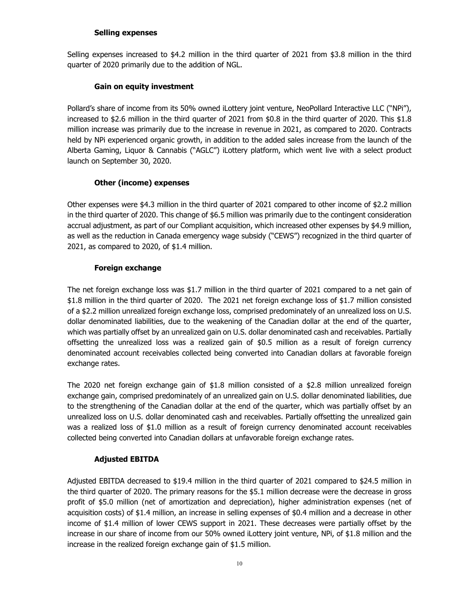#### **Selling expenses**

Selling expenses increased to \$4.2 million in the third quarter of 2021 from \$3.8 million in the third quarter of 2020 primarily due to the addition of NGL.

# **Gain on equity investment**

Pollard's share of income from its 50% owned iLottery joint venture, NeoPollard Interactive LLC ("NPi"), increased to \$2.6 million in the third quarter of 2021 from \$0.8 in the third quarter of 2020. This \$1.8 million increase was primarily due to the increase in revenue in 2021, as compared to 2020. Contracts held by NPi experienced organic growth, in addition to the added sales increase from the launch of the Alberta Gaming, Liquor & Cannabis ("AGLC") iLottery platform, which went live with a select product launch on September 30, 2020.

# **Other (income) expenses**

Other expenses were \$4.3 million in the third quarter of 2021 compared to other income of \$2.2 million in the third quarter of 2020. This change of \$6.5 million was primarily due to the contingent consideration accrual adjustment, as part of our Compliant acquisition, which increased other expenses by \$4.9 million, as well as the reduction in Canada emergency wage subsidy ("CEWS") recognized in the third quarter of 2021, as compared to 2020, of \$1.4 million.

# **Foreign exchange**

The net foreign exchange loss was \$1.7 million in the third quarter of 2021 compared to a net gain of \$1.8 million in the third quarter of 2020. The 2021 net foreign exchange loss of \$1.7 million consisted of a \$2.2 million unrealized foreign exchange loss, comprised predominately of an unrealized loss on U.S. dollar denominated liabilities, due to the weakening of the Canadian dollar at the end of the quarter, which was partially offset by an unrealized gain on U.S. dollar denominated cash and receivables. Partially offsetting the unrealized loss was a realized gain of \$0.5 million as a result of foreign currency denominated account receivables collected being converted into Canadian dollars at favorable foreign exchange rates.

The 2020 net foreign exchange gain of \$1.8 million consisted of a \$2.8 million unrealized foreign exchange gain, comprised predominately of an unrealized gain on U.S. dollar denominated liabilities, due to the strengthening of the Canadian dollar at the end of the quarter, which was partially offset by an unrealized loss on U.S. dollar denominated cash and receivables. Partially offsetting the unrealized gain was a realized loss of \$1.0 million as a result of foreign currency denominated account receivables collected being converted into Canadian dollars at unfavorable foreign exchange rates.

# **Adjusted EBITDA**

Adjusted EBITDA decreased to \$19.4 million in the third quarter of 2021 compared to \$24.5 million in the third quarter of 2020. The primary reasons for the \$5.1 million decrease were the decrease in gross profit of \$5.0 million (net of amortization and depreciation), higher administration expenses (net of acquisition costs) of \$1.4 million, an increase in selling expenses of \$0.4 million and a decrease in other income of \$1.4 million of lower CEWS support in 2021. These decreases were partially offset by the increase in our share of income from our 50% owned iLottery joint venture, NPi, of \$1.8 million and the increase in the realized foreign exchange gain of \$1.5 million.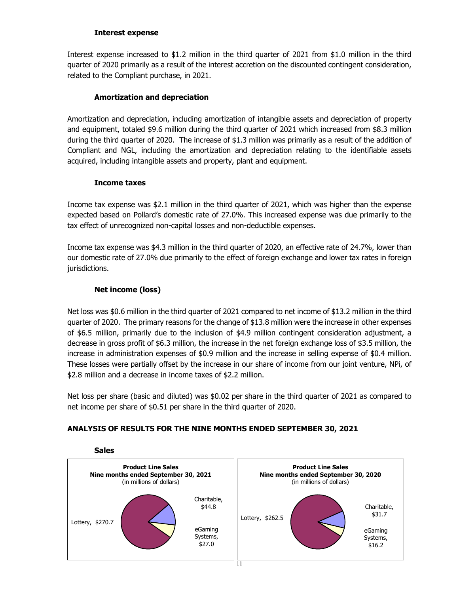#### **Interest expense**

Interest expense increased to \$1.2 million in the third quarter of 2021 from \$1.0 million in the third quarter of 2020 primarily as a result of the interest accretion on the discounted contingent consideration, related to the Compliant purchase, in 2021.

# **Amortization and depreciation**

Amortization and depreciation, including amortization of intangible assets and depreciation of property and equipment, totaled \$9.6 million during the third quarter of 2021 which increased from \$8.3 million during the third quarter of 2020. The increase of \$1.3 million was primarily as a result of the addition of Compliant and NGL, including the amortization and depreciation relating to the identifiable assets acquired, including intangible assets and property, plant and equipment.

#### **Income taxes**

Income tax expense was \$2.1 million in the third quarter of 2021, which was higher than the expense expected based on Pollard's domestic rate of 27.0%. This increased expense was due primarily to the tax effect of unrecognized non-capital losses and non-deductible expenses.

Income tax expense was \$4.3 million in the third quarter of 2020, an effective rate of 24.7%, lower than our domestic rate of 27.0% due primarily to the effect of foreign exchange and lower tax rates in foreign jurisdictions.

# **Net income (loss)**

Net loss was \$0.6 million in the third quarter of 2021 compared to net income of \$13.2 million in the third quarter of 2020. The primary reasons for the change of \$13.8 million were the increase in other expenses of \$6.5 million, primarily due to the inclusion of \$4.9 million contingent consideration adjustment, a decrease in gross profit of \$6.3 million, the increase in the net foreign exchange loss of \$3.5 million, the increase in administration expenses of \$0.9 million and the increase in selling expense of \$0.4 million. These losses were partially offset by the increase in our share of income from our joint venture, NPi, of \$2.8 million and a decrease in income taxes of \$2.2 million.

Net loss per share (basic and diluted) was \$0.02 per share in the third quarter of 2021 as compared to net income per share of \$0.51 per share in the third quarter of 2020.

# **ANALYSIS OF RESULTS FOR THE NINE MONTHS ENDED SEPTEMBER 30, 2021**



# **Sales**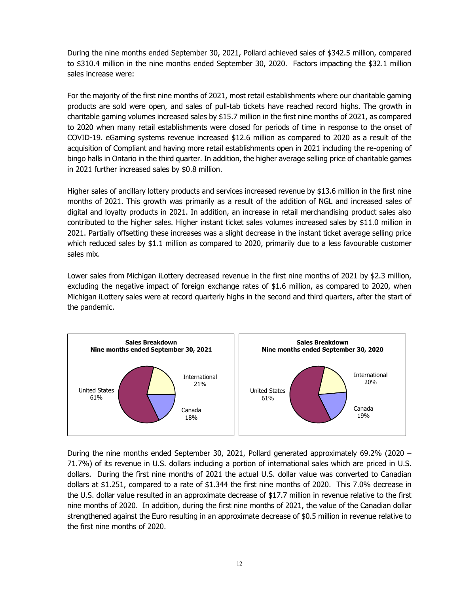During the nine months ended September 30, 2021, Pollard achieved sales of \$342.5 million, compared to \$310.4 million in the nine months ended September 30, 2020. Factors impacting the \$32.1 million sales increase were:

For the majority of the first nine months of 2021, most retail establishments where our charitable gaming products are sold were open, and sales of pull-tab tickets have reached record highs. The growth in charitable gaming volumes increased sales by \$15.7 million in the first nine months of 2021, as compared to 2020 when many retail establishments were closed for periods of time in response to the onset of COVID-19. eGaming systems revenue increased \$12.6 million as compared to 2020 as a result of the acquisition of Compliant and having more retail establishments open in 2021 including the re-opening of bingo halls in Ontario in the third quarter. In addition, the higher average selling price of charitable games in 2021 further increased sales by \$0.8 million.

Higher sales of ancillary lottery products and services increased revenue by \$13.6 million in the first nine months of 2021. This growth was primarily as a result of the addition of NGL and increased sales of digital and loyalty products in 2021. In addition, an increase in retail merchandising product sales also contributed to the higher sales. Higher instant ticket sales volumes increased sales by \$11.0 million in 2021. Partially offsetting these increases was a slight decrease in the instant ticket average selling price which reduced sales by \$1.1 million as compared to 2020, primarily due to a less favourable customer sales mix.

Lower sales from Michigan iLottery decreased revenue in the first nine months of 2021 by \$2.3 million, excluding the negative impact of foreign exchange rates of \$1.6 million, as compared to 2020, when Michigan iLottery sales were at record quarterly highs in the second and third quarters, after the start of the pandemic.



During the nine months ended September 30, 2021, Pollard generated approximately 69.2% (2020 – 71.7%) of its revenue in U.S. dollars including a portion of international sales which are priced in U.S. dollars. During the first nine months of 2021 the actual U.S. dollar value was converted to Canadian dollars at \$1.251, compared to a rate of \$1.344 the first nine months of 2020. This 7.0% decrease in the U.S. dollar value resulted in an approximate decrease of \$17.7 million in revenue relative to the first nine months of 2020. In addition, during the first nine months of 2021, the value of the Canadian dollar strengthened against the Euro resulting in an approximate decrease of \$0.5 million in revenue relative to the first nine months of 2020.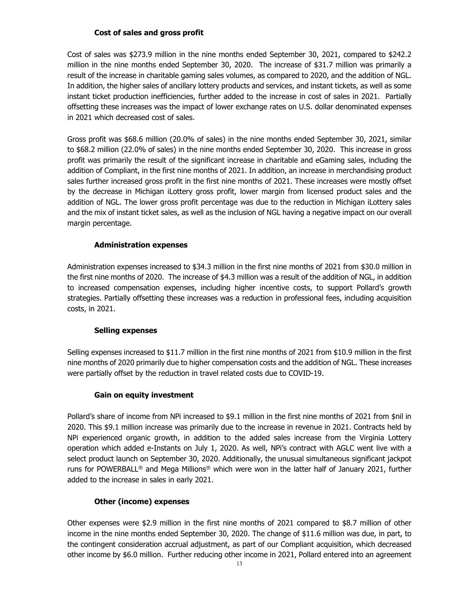# **Cost of sales and gross profit**

Cost of sales was \$273.9 million in the nine months ended September 30, 2021, compared to \$242.2 million in the nine months ended September 30, 2020. The increase of \$31.7 million was primarily a result of the increase in charitable gaming sales volumes, as compared to 2020, and the addition of NGL. In addition, the higher sales of ancillary lottery products and services, and instant tickets, as well as some instant ticket production inefficiencies, further added to the increase in cost of sales in 2021. Partially offsetting these increases was the impact of lower exchange rates on U.S. dollar denominated expenses in 2021 which decreased cost of sales.

Gross profit was \$68.6 million (20.0% of sales) in the nine months ended September 30, 2021, similar to \$68.2 million (22.0% of sales) in the nine months ended September 30, 2020. This increase in gross profit was primarily the result of the significant increase in charitable and eGaming sales, including the addition of Compliant, in the first nine months of 2021. In addition, an increase in merchandising product sales further increased gross profit in the first nine months of 2021. These increases were mostly offset by the decrease in Michigan iLottery gross profit, lower margin from licensed product sales and the addition of NGL. The lower gross profit percentage was due to the reduction in Michigan iLottery sales and the mix of instant ticket sales, as well as the inclusion of NGL having a negative impact on our overall margin percentage.

#### **Administration expenses**

Administration expenses increased to \$34.3 million in the first nine months of 2021 from \$30.0 million in the first nine months of 2020. The increase of \$4.3 million was a result of the addition of NGL, in addition to increased compensation expenses, including higher incentive costs, to support Pollard's growth strategies. Partially offsetting these increases was a reduction in professional fees, including acquisition costs, in 2021.

# **Selling expenses**

Selling expenses increased to \$11.7 million in the first nine months of 2021 from \$10.9 million in the first nine months of 2020 primarily due to higher compensation costs and the addition of NGL. These increases were partially offset by the reduction in travel related costs due to COVID-19.

# **Gain on equity investment**

Pollard's share of income from NPi increased to \$9.1 million in the first nine months of 2021 from \$nil in 2020. This \$9.1 million increase was primarily due to the increase in revenue in 2021. Contracts held by NPi experienced organic growth, in addition to the added sales increase from the Virginia Lottery operation which added e-Instants on July 1, 2020. As well, NPi's contract with AGLC went live with a select product launch on September 30, 2020. Additionally, the unusual simultaneous significant jackpot runs for POWERBALL<sup>®</sup> and Mega Millions<sup>®</sup> which were won in the latter half of January 2021, further added to the increase in sales in early 2021.

# **Other (income) expenses**

Other expenses were \$2.9 million in the first nine months of 2021 compared to \$8.7 million of other income in the nine months ended September 30, 2020. The change of \$11.6 million was due, in part, to the contingent consideration accrual adjustment, as part of our Compliant acquisition, which decreased other income by \$6.0 million. Further reducing other income in 2021, Pollard entered into an agreement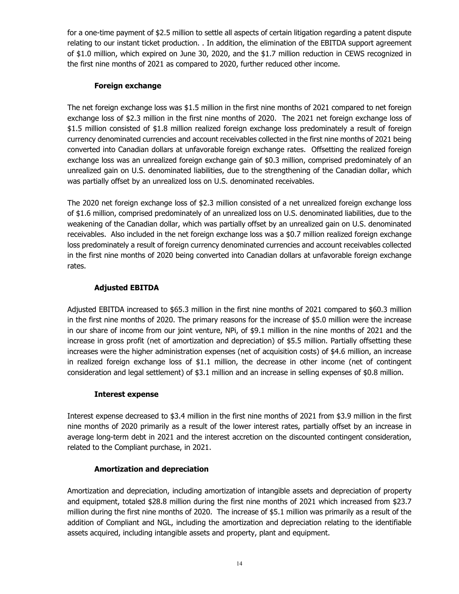for a one-time payment of \$2.5 million to settle all aspects of certain litigation regarding a patent dispute relating to our instant ticket production. . In addition, the elimination of the EBITDA support agreement of \$1.0 million, which expired on June 30, 2020, and the \$1.7 million reduction in CEWS recognized in the first nine months of 2021 as compared to 2020, further reduced other income.

# **Foreign exchange**

The net foreign exchange loss was \$1.5 million in the first nine months of 2021 compared to net foreign exchange loss of \$2.3 million in the first nine months of 2020. The 2021 net foreign exchange loss of \$1.5 million consisted of \$1.8 million realized foreign exchange loss predominately a result of foreign currency denominated currencies and account receivables collected in the first nine months of 2021 being converted into Canadian dollars at unfavorable foreign exchange rates. Offsetting the realized foreign exchange loss was an unrealized foreign exchange gain of \$0.3 million, comprised predominately of an unrealized gain on U.S. denominated liabilities, due to the strengthening of the Canadian dollar, which was partially offset by an unrealized loss on U.S. denominated receivables.

The 2020 net foreign exchange loss of \$2.3 million consisted of a net unrealized foreign exchange loss of \$1.6 million, comprised predominately of an unrealized loss on U.S. denominated liabilities, due to the weakening of the Canadian dollar, which was partially offset by an unrealized gain on U.S. denominated receivables. Also included in the net foreign exchange loss was a \$0.7 million realized foreign exchange loss predominately a result of foreign currency denominated currencies and account receivables collected in the first nine months of 2020 being converted into Canadian dollars at unfavorable foreign exchange rates.

# **Adjusted EBITDA**

Adjusted EBITDA increased to \$65.3 million in the first nine months of 2021 compared to \$60.3 million in the first nine months of 2020. The primary reasons for the increase of \$5.0 million were the increase in our share of income from our joint venture, NPi, of \$9.1 million in the nine months of 2021 and the increase in gross profit (net of amortization and depreciation) of \$5.5 million. Partially offsetting these increases were the higher administration expenses (net of acquisition costs) of \$4.6 million, an increase in realized foreign exchange loss of \$1.1 million, the decrease in other income (net of contingent consideration and legal settlement) of \$3.1 million and an increase in selling expenses of \$0.8 million.

# **Interest expense**

Interest expense decreased to \$3.4 million in the first nine months of 2021 from \$3.9 million in the first nine months of 2020 primarily as a result of the lower interest rates, partially offset by an increase in average long-term debt in 2021 and the interest accretion on the discounted contingent consideration, related to the Compliant purchase, in 2021.

# **Amortization and depreciation**

Amortization and depreciation, including amortization of intangible assets and depreciation of property and equipment, totaled \$28.8 million during the first nine months of 2021 which increased from \$23.7 million during the first nine months of 2020. The increase of \$5.1 million was primarily as a result of the addition of Compliant and NGL, including the amortization and depreciation relating to the identifiable assets acquired, including intangible assets and property, plant and equipment.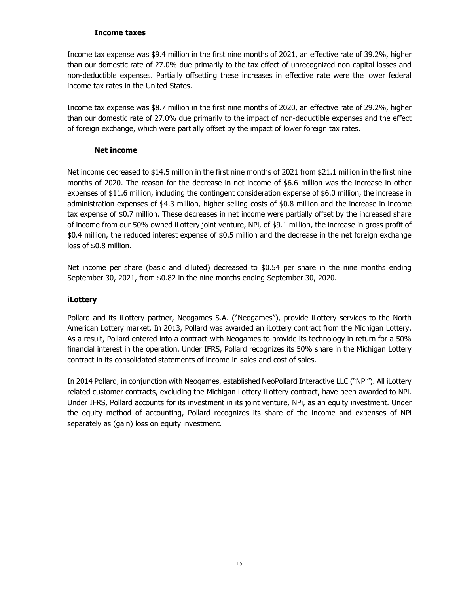## **Income taxes**

Income tax expense was \$9.4 million in the first nine months of 2021, an effective rate of 39.2%, higher than our domestic rate of 27.0% due primarily to the tax effect of unrecognized non-capital losses and non-deductible expenses. Partially offsetting these increases in effective rate were the lower federal income tax rates in the United States.

Income tax expense was \$8.7 million in the first nine months of 2020, an effective rate of 29.2%, higher than our domestic rate of 27.0% due primarily to the impact of non-deductible expenses and the effect of foreign exchange, which were partially offset by the impact of lower foreign tax rates.

## **Net income**

Net income decreased to \$14.5 million in the first nine months of 2021 from \$21.1 million in the first nine months of 2020. The reason for the decrease in net income of \$6.6 million was the increase in other expenses of \$11.6 million, including the contingent consideration expense of \$6.0 million, the increase in administration expenses of \$4.3 million, higher selling costs of \$0.8 million and the increase in income tax expense of \$0.7 million. These decreases in net income were partially offset by the increased share of income from our 50% owned iLottery joint venture, NPi, of \$9.1 million, the increase in gross profit of \$0.4 million, the reduced interest expense of \$0.5 million and the decrease in the net foreign exchange loss of \$0.8 million.

Net income per share (basic and diluted) decreased to \$0.54 per share in the nine months ending September 30, 2021, from \$0.82 in the nine months ending September 30, 2020.

# **iLottery**

Pollard and its iLottery partner, Neogames S.A. ("Neogames"), provide iLottery services to the North American Lottery market. In 2013, Pollard was awarded an iLottery contract from the Michigan Lottery. As a result, Pollard entered into a contract with Neogames to provide its technology in return for a 50% financial interest in the operation. Under IFRS, Pollard recognizes its 50% share in the Michigan Lottery contract in its consolidated statements of income in sales and cost of sales.

In 2014 Pollard, in conjunction with Neogames, established NeoPollard Interactive LLC ("NPi"). All iLottery related customer contracts, excluding the Michigan Lottery iLottery contract, have been awarded to NPi. Under IFRS, Pollard accounts for its investment in its joint venture, NPi, as an equity investment. Under the equity method of accounting, Pollard recognizes its share of the income and expenses of NPi separately as (gain) loss on equity investment.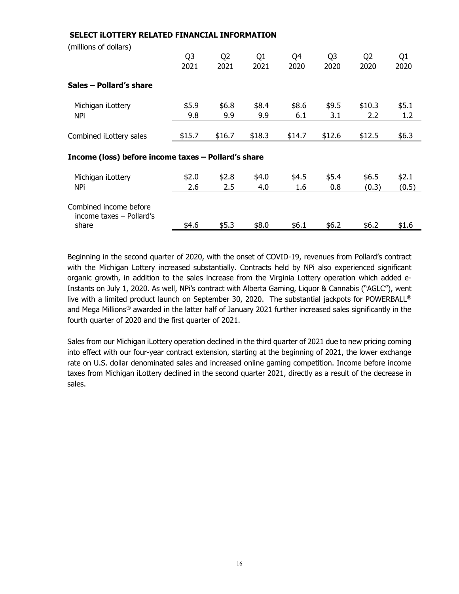| SELECT ILOTTERY RELATED FINANCIAL INFORMATION       |                        |                        |                        |              |                        |                        |                |
|-----------------------------------------------------|------------------------|------------------------|------------------------|--------------|------------------------|------------------------|----------------|
| (millions of dollars)                               | Q <sub>3</sub><br>2021 | Q <sub>2</sub><br>2021 | Q <sub>1</sub><br>2021 | Q4<br>2020   | Q <sub>3</sub><br>2020 | Q <sub>2</sub><br>2020 | Q1<br>2020     |
| Sales - Pollard's share                             |                        |                        |                        |              |                        |                        |                |
| Michigan iLottery<br>NPi                            | \$5.9<br>9.8           | \$6.8\$<br>9.9         | \$8.4<br>9.9           | \$8.6<br>6.1 | \$9.5<br>3.1           | \$10.3<br>2.2          | \$5.1<br>1.2   |
| Combined iLottery sales                             | \$15.7                 | \$16.7                 | \$18.3                 | \$14.7       | \$12.6                 | \$12.5                 | \$6.3          |
| Income (loss) before income taxes - Pollard's share |                        |                        |                        |              |                        |                        |                |
| Michigan iLottery<br>NPi                            | \$2.0<br>2.6           | \$2.8<br>2.5           | \$4.0<br>4.0           | \$4.5<br>1.6 | \$5.4<br>0.8           | \$6.5<br>(0.3)         | \$2.1<br>(0.5) |
| Combined income before<br>income taxes - Pollard's  |                        |                        |                        |              |                        |                        |                |
| share                                               | \$4.6                  | \$5.3                  | \$8.0                  | \$6.1        | \$6.2                  | \$6.2                  | \$1.6          |

Beginning in the second quarter of 2020, with the onset of COVID-19, revenues from Pollard's contract with the Michigan Lottery increased substantially. Contracts held by NPi also experienced significant organic growth, in addition to the sales increase from the Virginia Lottery operation which added e-Instants on July 1, 2020. As well, NPi's contract with Alberta Gaming, Liquor & Cannabis ("AGLC"), went live with a limited product launch on September 30, 2020. The substantial jackpots for POWERBALL® and Mega Millions<sup>®</sup> awarded in the latter half of January 2021 further increased sales significantly in the fourth quarter of 2020 and the first quarter of 2021.

Sales from our Michigan iLottery operation declined in the third quarter of 2021 due to new pricing coming into effect with our four-year contract extension, starting at the beginning of 2021, the lower exchange rate on U.S. dollar denominated sales and increased online gaming competition. Income before income taxes from Michigan iLottery declined in the second quarter 2021, directly as a result of the decrease in sales.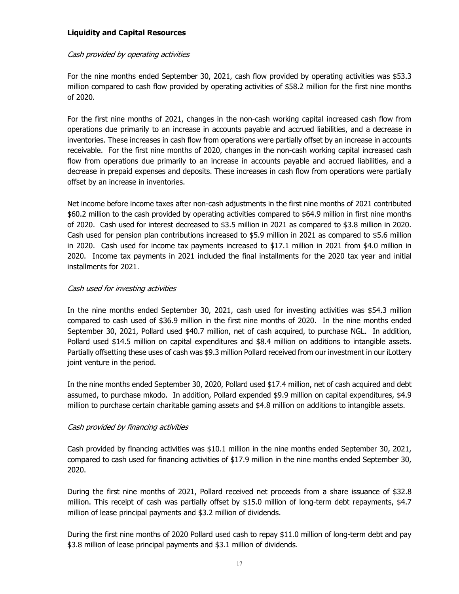## **Liquidity and Capital Resources**

#### Cash provided by operating activities

For the nine months ended September 30, 2021, cash flow provided by operating activities was \$53.3 million compared to cash flow provided by operating activities of \$58.2 million for the first nine months of 2020.

For the first nine months of 2021, changes in the non-cash working capital increased cash flow from operations due primarily to an increase in accounts payable and accrued liabilities, and a decrease in inventories. These increases in cash flow from operations were partially offset by an increase in accounts receivable. For the first nine months of 2020, changes in the non-cash working capital increased cash flow from operations due primarily to an increase in accounts payable and accrued liabilities, and a decrease in prepaid expenses and deposits. These increases in cash flow from operations were partially offset by an increase in inventories.

Net income before income taxes after non-cash adjustments in the first nine months of 2021 contributed \$60.2 million to the cash provided by operating activities compared to \$64.9 million in first nine months of 2020. Cash used for interest decreased to \$3.5 million in 2021 as compared to \$3.8 million in 2020. Cash used for pension plan contributions increased to \$5.9 million in 2021 as compared to \$5.6 million in 2020. Cash used for income tax payments increased to \$17.1 million in 2021 from \$4.0 million in 2020. Income tax payments in 2021 included the final installments for the 2020 tax year and initial installments for 2021.

#### Cash used for investing activities

In the nine months ended September 30, 2021, cash used for investing activities was \$54.3 million compared to cash used of \$36.9 million in the first nine months of 2020. In the nine months ended September 30, 2021, Pollard used \$40.7 million, net of cash acquired, to purchase NGL. In addition, Pollard used \$14.5 million on capital expenditures and \$8.4 million on additions to intangible assets. Partially offsetting these uses of cash was \$9.3 million Pollard received from our investment in our iLottery joint venture in the period.

In the nine months ended September 30, 2020, Pollard used \$17.4 million, net of cash acquired and debt assumed, to purchase mkodo. In addition, Pollard expended \$9.9 million on capital expenditures, \$4.9 million to purchase certain charitable gaming assets and \$4.8 million on additions to intangible assets.

#### Cash provided by financing activities

Cash provided by financing activities was \$10.1 million in the nine months ended September 30, 2021, compared to cash used for financing activities of \$17.9 million in the nine months ended September 30, 2020.

During the first nine months of 2021, Pollard received net proceeds from a share issuance of \$32.8 million. This receipt of cash was partially offset by \$15.0 million of long-term debt repayments, \$4.7 million of lease principal payments and \$3.2 million of dividends.

During the first nine months of 2020 Pollard used cash to repay \$11.0 million of long-term debt and pay \$3.8 million of lease principal payments and \$3.1 million of dividends.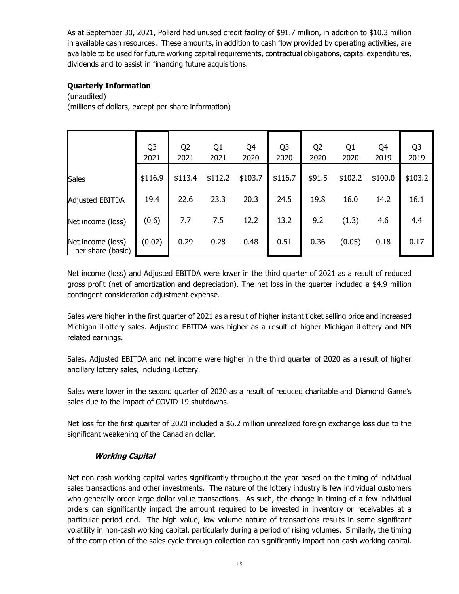As at September 30, 2021, Pollard had unused credit facility of \$91.7 million, in addition to \$10.3 million in available cash resources. These amounts, in addition to cash flow provided by operating activities, are available to be used for future working capital requirements, contractual obligations, capital expenditures, dividends and to assist in financing future acquisitions.

# **Quarterly Information**

(unaudited)

(millions of dollars, except per share information)

|                                        | Q <sub>3</sub><br>2021 | Q <sub>2</sub><br>2021 | Q <sub>1</sub><br>2021 | Q4<br>2020 | Q <sub>3</sub><br>2020 | Q <sub>2</sub><br>2020 | Q <sub>1</sub><br>2020 | Q4<br>2019 | Q <sub>3</sub><br>2019 |
|----------------------------------------|------------------------|------------------------|------------------------|------------|------------------------|------------------------|------------------------|------------|------------------------|
| <b>Sales</b>                           | \$116.9                | \$113.4                | \$112.2                | \$103.7    | \$116.7                | \$91.5                 | \$102.2                | \$100.0    | \$103.2                |
| <b>Adjusted EBITDA</b>                 | 19.4                   | 22.6                   | 23.3                   | 20.3       | 24.5                   | 19.8                   | 16.0                   | 14.2       | 16.1                   |
| Net income (loss)                      | (0.6)                  | 7.7                    | 7.5                    | 12.2       | 13.2                   | 9.2                    | (1.3)                  | 4.6        | 4.4                    |
| Net income (loss)<br>per share (basic) | (0.02)                 | 0.29                   | 0.28                   | 0.48       | 0.51                   | 0.36                   | (0.05)                 | 0.18       | 0.17                   |

Net income (loss) and Adjusted EBITDA were lower in the third quarter of 2021 as a result of reduced gross profit (net of amortization and depreciation). The net loss in the quarter included a \$4.9 million contingent consideration adjustment expense.

Sales were higher in the first quarter of 2021 as a result of higher instant ticket selling price and increased Michigan iLottery sales. Adjusted EBITDA was higher as a result of higher Michigan iLottery and NPi related earnings.

Sales, Adjusted EBITDA and net income were higher in the third quarter of 2020 as a result of higher ancillary lottery sales, including iLottery.

Sales were lower in the second quarter of 2020 as a result of reduced charitable and Diamond Game's sales due to the impact of COVID-19 shutdowns.

Net loss for the first quarter of 2020 included a \$6.2 million unrealized foreign exchange loss due to the significant weakening of the Canadian dollar.

# **Working Capital**

Net non-cash working capital varies significantly throughout the year based on the timing of individual sales transactions and other investments. The nature of the lottery industry is few individual customers who generally order large dollar value transactions. As such, the change in timing of a few individual orders can significantly impact the amount required to be invested in inventory or receivables at a particular period end. The high value, low volume nature of transactions results in some significant volatility in non-cash working capital, particularly during a period of rising volumes. Similarly, the timing of the completion of the sales cycle through collection can significantly impact non-cash working capital.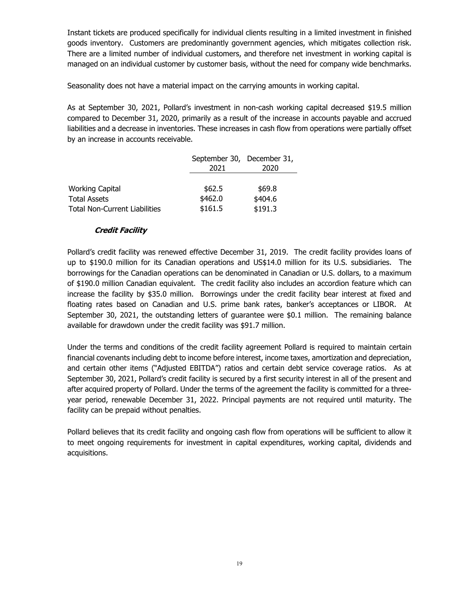Instant tickets are produced specifically for individual clients resulting in a limited investment in finished goods inventory. Customers are predominantly government agencies, which mitigates collection risk. There are a limited number of individual customers, and therefore net investment in working capital is managed on an individual customer by customer basis, without the need for company wide benchmarks.

Seasonality does not have a material impact on the carrying amounts in working capital.

As at September 30, 2021, Pollard's investment in non-cash working capital decreased \$19.5 million compared to December 31, 2020, primarily as a result of the increase in accounts payable and accrued liabilities and a decrease in inventories. These increases in cash flow from operations were partially offset by an increase in accounts receivable.

|                                      | September 30, December 31, |         |
|--------------------------------------|----------------------------|---------|
|                                      | 2021                       | 2020    |
|                                      |                            |         |
| <b>Working Capital</b>               | \$62.5                     | \$69.8  |
| <b>Total Assets</b>                  | \$462.0                    | \$404.6 |
| <b>Total Non-Current Liabilities</b> | \$161.5                    | \$191.3 |

#### **Credit Facility**

Pollard's credit facility was renewed effective December 31, 2019. The credit facility provides loans of up to \$190.0 million for its Canadian operations and US\$14.0 million for its U.S. subsidiaries. The borrowings for the Canadian operations can be denominated in Canadian or U.S. dollars, to a maximum of \$190.0 million Canadian equivalent. The credit facility also includes an accordion feature which can increase the facility by \$35.0 million. Borrowings under the credit facility bear interest at fixed and floating rates based on Canadian and U.S. prime bank rates, banker's acceptances or LIBOR. At September 30, 2021, the outstanding letters of guarantee were \$0.1 million. The remaining balance available for drawdown under the credit facility was \$91.7 million.

Under the terms and conditions of the credit facility agreement Pollard is required to maintain certain financial covenants including debt to income before interest, income taxes, amortization and depreciation, and certain other items ("Adjusted EBITDA") ratios and certain debt service coverage ratios. As at September 30, 2021, Pollard's credit facility is secured by a first security interest in all of the present and after acquired property of Pollard. Under the terms of the agreement the facility is committed for a threeyear period, renewable December 31, 2022. Principal payments are not required until maturity. The facility can be prepaid without penalties.

Pollard believes that its credit facility and ongoing cash flow from operations will be sufficient to allow it to meet ongoing requirements for investment in capital expenditures, working capital, dividends and acquisitions.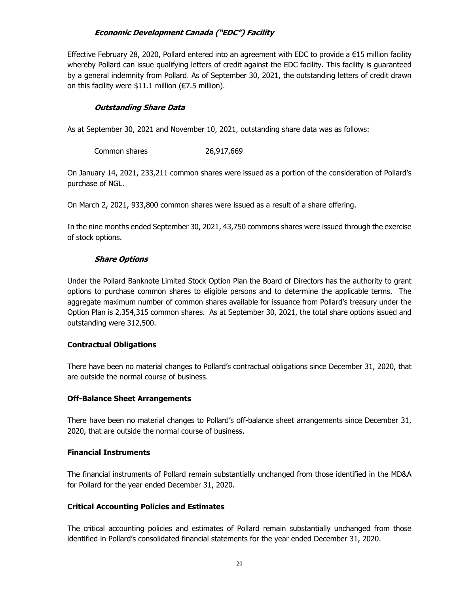# **Economic Development Canada ("EDC") Facility**

Effective February 28, 2020, Pollard entered into an agreement with EDC to provide a €15 million facility whereby Pollard can issue qualifying letters of credit against the EDC facility. This facility is guaranteed by a general indemnity from Pollard. As of September 30, 2021, the outstanding letters of credit drawn on this facility were \$11.1 million (€7.5 million).

## **Outstanding Share Data**

As at September 30, 2021 and November 10, 2021, outstanding share data was as follows:

| Common shares | 26,917,669 |
|---------------|------------|
|---------------|------------|

On January 14, 2021, 233,211 common shares were issued as a portion of the consideration of Pollard's purchase of NGL.

On March 2, 2021, 933,800 common shares were issued as a result of a share offering.

In the nine months ended September 30, 2021, 43,750 commons shares were issued through the exercise of stock options.

## **Share Options**

Under the Pollard Banknote Limited Stock Option Plan the Board of Directors has the authority to grant options to purchase common shares to eligible persons and to determine the applicable terms. The aggregate maximum number of common shares available for issuance from Pollard's treasury under the Option Plan is 2,354,315 common shares. As at September 30, 2021, the total share options issued and outstanding were 312,500.

# **Contractual Obligations**

There have been no material changes to Pollard's contractual obligations since December 31, 2020, that are outside the normal course of business.

#### **Off-Balance Sheet Arrangements**

There have been no material changes to Pollard's off-balance sheet arrangements since December 31, 2020, that are outside the normal course of business.

#### **Financial Instruments**

The financial instruments of Pollard remain substantially unchanged from those identified in the MD&A for Pollard for the year ended December 31, 2020.

#### **Critical Accounting Policies and Estimates**

The critical accounting policies and estimates of Pollard remain substantially unchanged from those identified in Pollard's consolidated financial statements for the year ended December 31, 2020.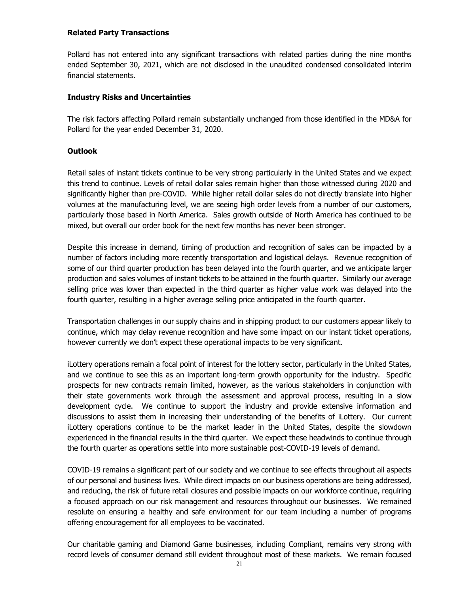#### **Related Party Transactions**

Pollard has not entered into any significant transactions with related parties during the nine months ended September 30, 2021, which are not disclosed in the unaudited condensed consolidated interim financial statements.

## **Industry Risks and Uncertainties**

The risk factors affecting Pollard remain substantially unchanged from those identified in the MD&A for Pollard for the year ended December 31, 2020.

#### **Outlook**

Retail sales of instant tickets continue to be very strong particularly in the United States and we expect this trend to continue. Levels of retail dollar sales remain higher than those witnessed during 2020 and significantly higher than pre-COVID. While higher retail dollar sales do not directly translate into higher volumes at the manufacturing level, we are seeing high order levels from a number of our customers, particularly those based in North America. Sales growth outside of North America has continued to be mixed, but overall our order book for the next few months has never been stronger.

Despite this increase in demand, timing of production and recognition of sales can be impacted by a number of factors including more recently transportation and logistical delays. Revenue recognition of some of our third quarter production has been delayed into the fourth quarter, and we anticipate larger production and sales volumes of instant tickets to be attained in the fourth quarter. Similarly our average selling price was lower than expected in the third quarter as higher value work was delayed into the fourth quarter, resulting in a higher average selling price anticipated in the fourth quarter.

Transportation challenges in our supply chains and in shipping product to our customers appear likely to continue, which may delay revenue recognition and have some impact on our instant ticket operations, however currently we don't expect these operational impacts to be very significant.

iLottery operations remain a focal point of interest for the lottery sector, particularly in the United States, and we continue to see this as an important long-term growth opportunity for the industry. Specific prospects for new contracts remain limited, however, as the various stakeholders in conjunction with their state governments work through the assessment and approval process, resulting in a slow development cycle. We continue to support the industry and provide extensive information and discussions to assist them in increasing their understanding of the benefits of iLottery. Our current iLottery operations continue to be the market leader in the United States, despite the slowdown experienced in the financial results in the third quarter. We expect these headwinds to continue through the fourth quarter as operations settle into more sustainable post-COVID-19 levels of demand.

COVID-19 remains a significant part of our society and we continue to see effects throughout all aspects of our personal and business lives. While direct impacts on our business operations are being addressed, and reducing, the risk of future retail closures and possible impacts on our workforce continue, requiring a focused approach on our risk management and resources throughout our businesses. We remained resolute on ensuring a healthy and safe environment for our team including a number of programs offering encouragement for all employees to be vaccinated.

Our charitable gaming and Diamond Game businesses, including Compliant, remains very strong with record levels of consumer demand still evident throughout most of these markets. We remain focused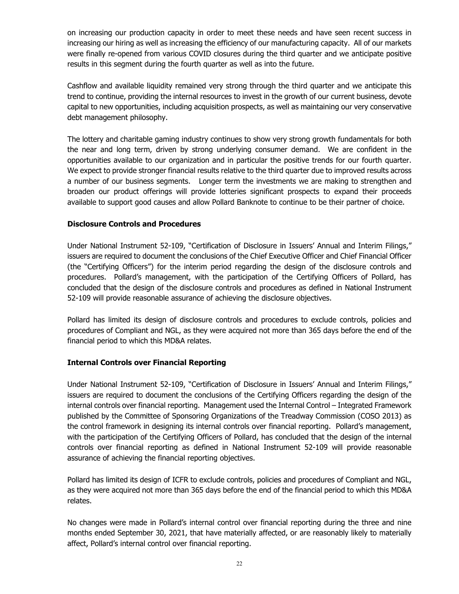on increasing our production capacity in order to meet these needs and have seen recent success in increasing our hiring as well as increasing the efficiency of our manufacturing capacity. All of our markets were finally re-opened from various COVID closures during the third quarter and we anticipate positive results in this segment during the fourth quarter as well as into the future.

Cashflow and available liquidity remained very strong through the third quarter and we anticipate this trend to continue, providing the internal resources to invest in the growth of our current business, devote capital to new opportunities, including acquisition prospects, as well as maintaining our very conservative debt management philosophy.

The lottery and charitable gaming industry continues to show very strong growth fundamentals for both the near and long term, driven by strong underlying consumer demand. We are confident in the opportunities available to our organization and in particular the positive trends for our fourth quarter. We expect to provide stronger financial results relative to the third quarter due to improved results across a number of our business segments. Longer term the investments we are making to strengthen and broaden our product offerings will provide lotteries significant prospects to expand their proceeds available to support good causes and allow Pollard Banknote to continue to be their partner of choice.

#### **Disclosure Controls and Procedures**

Under National Instrument 52-109, "Certification of Disclosure in Issuers' Annual and Interim Filings," issuers are required to document the conclusions of the Chief Executive Officer and Chief Financial Officer (the "Certifying Officers") for the interim period regarding the design of the disclosure controls and procedures. Pollard's management, with the participation of the Certifying Officers of Pollard, has concluded that the design of the disclosure controls and procedures as defined in National Instrument 52-109 will provide reasonable assurance of achieving the disclosure objectives.

Pollard has limited its design of disclosure controls and procedures to exclude controls, policies and procedures of Compliant and NGL, as they were acquired not more than 365 days before the end of the financial period to which this MD&A relates.

#### **Internal Controls over Financial Reporting**

Under National Instrument 52-109, "Certification of Disclosure in Issuers' Annual and Interim Filings," issuers are required to document the conclusions of the Certifying Officers regarding the design of the internal controls over financial reporting. Management used the Internal Control – Integrated Framework published by the Committee of Sponsoring Organizations of the Treadway Commission (COSO 2013) as the control framework in designing its internal controls over financial reporting. Pollard's management, with the participation of the Certifying Officers of Pollard, has concluded that the design of the internal controls over financial reporting as defined in National Instrument 52-109 will provide reasonable assurance of achieving the financial reporting objectives.

Pollard has limited its design of ICFR to exclude controls, policies and procedures of Compliant and NGL, as they were acquired not more than 365 days before the end of the financial period to which this MD&A relates.

No changes were made in Pollard's internal control over financial reporting during the three and nine months ended September 30, 2021, that have materially affected, or are reasonably likely to materially affect, Pollard's internal control over financial reporting.